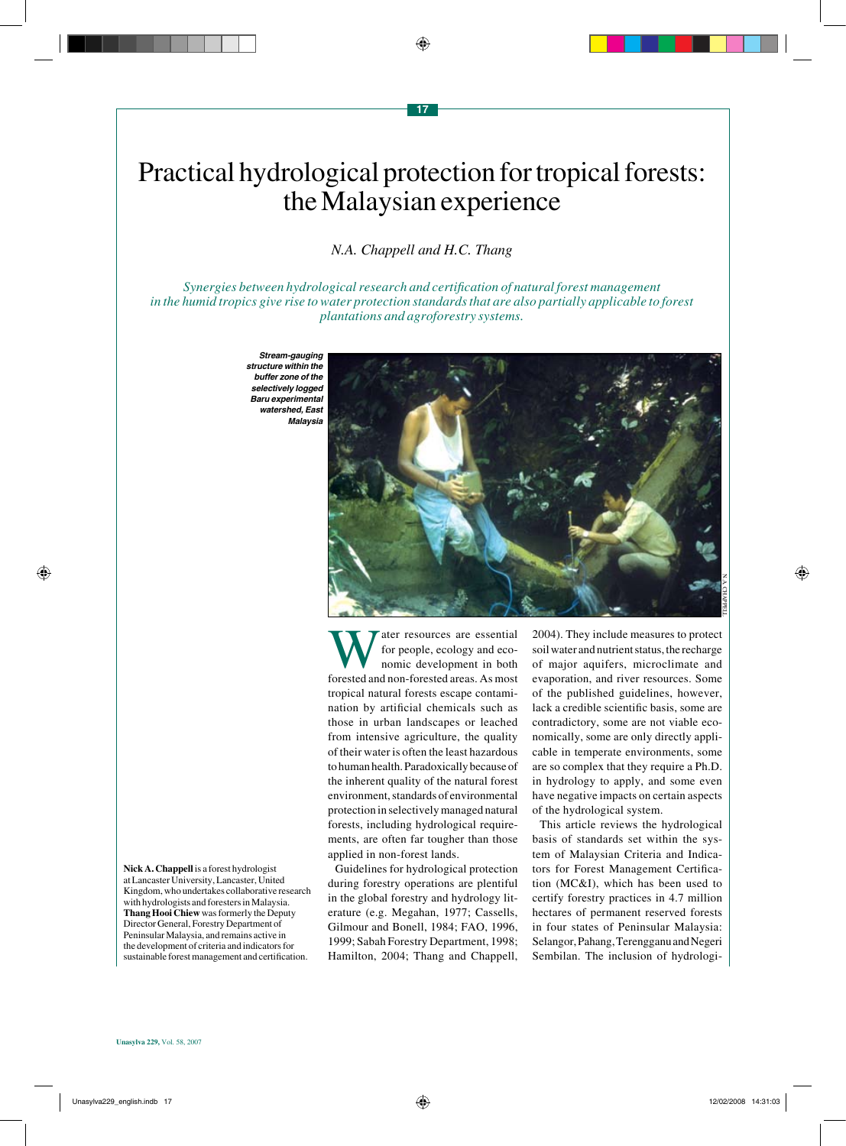# Practical hydrological protection for tropical forests: the Malaysian experience

*N.A. Chappell and H.C. Thang*

*Synergies between hydrological research and certification of natural forest management in the humid tropics give rise to water protection standards that are also partially applicable to forest plantations and agroforestry systems.*

*Stream-gauging structure within the buffer zone of the selectively logged*  **Baru experimental**  *watershed, East Malaysia*

ater resources are essential for people, ecology and economic development in both forested and non-forested areas. As most tropical natural forests escape contamination by artificial chemicals such as those in urban landscapes or leached from intensive agriculture, the quality of their water is often the least hazardous to human health. Paradoxically because of the inherent quality of the natural forest environment, standards of environmental protection in selectively managed natural forests, including hydrological requirements, are often far tougher than those applied in non-forest lands.

Guidelines for hydrological protection during forestry operations are plentiful in the global forestry and hydrology literature (e.g. Megahan, 1977; Cassells, Gilmour and Bonell, 1984; FAO, 1996, 1999; Sabah Forestry Department, 1998; Hamilton, 2004; Thang and Chappell,

2004). They include measures to protect soil water and nutrient status, the recharge of major aquifers, microclimate and evaporation, and river resources. Some of the published guidelines, however, lack a credible scientific basis, some are contradictory, some are not viable economically, some are only directly applicable in temperate environments, some are so complex that they require a Ph.D. in hydrology to apply, and some even have negative impacts on certain aspects of the hydrological system.

This article reviews the hydrological basis of standards set within the system of Malaysian Criteria and Indicators for Forest Management Certification (MC&I), which has been used to certify forestry practices in 4.7 million hectares of permanent reserved forests in four states of Peninsular Malaysia: Selangor, Pahang, Terengganu and Negeri Sembilan. The inclusion of hydrologi-

**Nick A. Chappell** is a forest hydrologist at Lancaster University, Lancaster, United Kingdom, who undertakes collaborative research with hydrologists and foresters in Malaysia. **Thang Hooi Chiew** was formerly the Deputy Director General, Forestry Department of Peninsular Malaysia, and remains active in the development of criteria and indicators for sustainable forest management and certification.

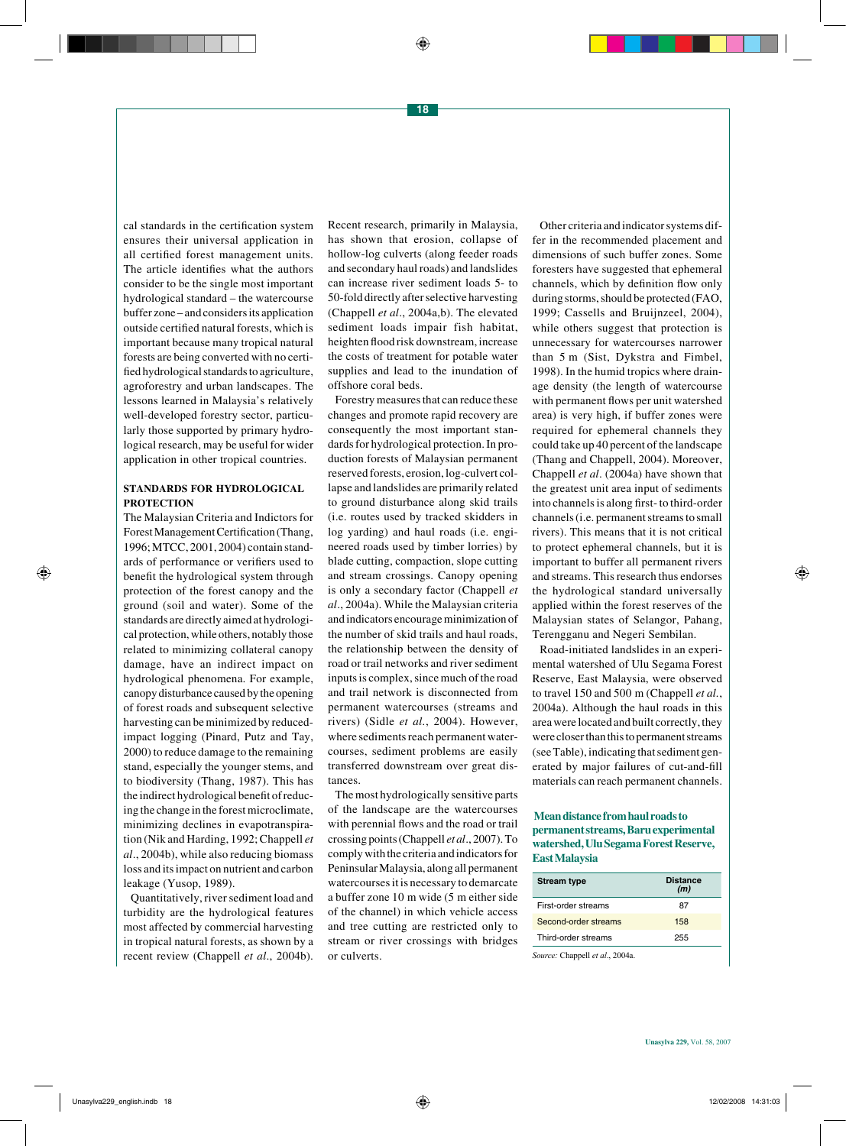cal standards in the certification system ensures their universal application in all certified forest management units. The article identifies what the authors consider to be the single most important hydrological standard – the watercourse buffer zone – and considers its application outside certified natural forests, which is important because many tropical natural forests are being converted with no certified hydrological standards to agriculture, agroforestry and urban landscapes. The lessons learned in Malaysia's relatively well-developed forestry sector, particularly those supported by primary hydrological research, may be useful for wider application in other tropical countries.

## **STANDARDS FOR HYDROLOGICAL PROTECTION**

The Malaysian Criteria and Indictors for Forest Management Certification (Thang, 1996; MTCC, 2001, 2004) contain standards of performance or verifiers used to benefit the hydrological system through protection of the forest canopy and the ground (soil and water). Some of the standards are directly aimed at hydrological protection, while others, notably those related to minimizing collateral canopy damage, have an indirect impact on hydrological phenomena. For example, canopy disturbance caused by the opening of forest roads and subsequent selective harvesting can be minimized by reducedimpact logging (Pinard, Putz and Tay, 2000) to reduce damage to the remaining stand, especially the younger stems, and to biodiversity (Thang, 1987). This has the indirect hydrological benefit of reducing the change in the forest microclimate, minimizing declines in evapotranspiration (Nik and Harding, 1992; Chappell *et al*., 2004b), while also reducing biomass loss and its impact on nutrient and carbon leakage (Yusop, 1989).

Quantitatively, river sediment load and turbidity are the hydrological features most affected by commercial harvesting in tropical natural forests, as shown by a recent review (Chappell *et al*., 2004b).

Recent research, primarily in Malaysia, has shown that erosion, collapse of hollow-log culverts (along feeder roads and secondary haul roads) and landslides can increase river sediment loads 5- to 50-fold directly after selective harvesting (Chappell *et al*., 2004a,b). The elevated sediment loads impair fish habitat, heighten flood risk downstream, increase the costs of treatment for potable water supplies and lead to the inundation of offshore coral beds.

Forestry measures that can reduce these changes and promote rapid recovery are consequently the most important standards for hydrological protection. In production forests of Malaysian permanent reserved forests, erosion, log-culvert collapse and landslides are primarily related to ground disturbance along skid trails (i.e. routes used by tracked skidders in log yarding) and haul roads (i.e. engineered roads used by timber lorries) by blade cutting, compaction, slope cutting and stream crossings. Canopy opening is only a secondary factor (Chappell *et al*., 2004a). While the Malaysian criteria and indicators encourage minimization of the number of skid trails and haul roads, the relationship between the density of road or trail networks and river sediment inputs is complex, since much of the road and trail network is disconnected from permanent watercourses (streams and rivers) (Sidle *et al.*, 2004). However, where sediments reach permanent watercourses, sediment problems are easily transferred downstream over great distances.

The most hydrologically sensitive parts of the landscape are the watercourses with perennial flows and the road or trail crossing points (Chappell *et al*., 2007). To comply with the criteria and indicators for Peninsular Malaysia, along all permanent watercourses it is necessary to demarcate a buffer zone 10 m wide (5 m either side of the channel) in which vehicle access and tree cutting are restricted only to stream or river crossings with bridges or culverts.

Other criteria and indicator systems differ in the recommended placement and dimensions of such buffer zones. Some foresters have suggested that ephemeral channels, which by definition flow only during storms, should be protected (FAO, 1999; Cassells and Bruijnzeel, 2004), while others suggest that protection is unnecessary for watercourses narrower than 5 m (Sist, Dykstra and Fimbel, 1998). In the humid tropics where drainage density (the length of watercourse with permanent flows per unit watershed area) is very high, if buffer zones were required for ephemeral channels they could take up 40 percent of the landscape (Thang and Chappell, 2004). Moreover, Chappell *et al*. (2004a) have shown that the greatest unit area input of sediments into channels is along first- to third-order channels (i.e. permanent streams to small rivers). This means that it is not critical to protect ephemeral channels, but it is important to buffer all permanent rivers and streams. This research thus endorses the hydrological standard universally applied within the forest reserves of the Malaysian states of Selangor, Pahang, Terengganu and Negeri Sembilan.

Road-initiated landslides in an experimental watershed of Ulu Segama Forest Reserve, East Malaysia, were observed to travel 150 and 500 m (Chappell *et al.*, 2004a). Although the haul roads in this area were located and built correctly, they were closer than this to permanent streams (see Table), indicating that sediment generated by major failures of cut-and-fill materials can reach permanent channels.

### **Mean distance from haul roads to permanent streams, Baru experimental watershed, Ulu Segama Forest Reserve, East Malaysia**

| <b>Stream type</b>   | <b>Distance</b><br>(m) |
|----------------------|------------------------|
| First-order streams  | 87                     |
| Second-order streams | 158                    |
| Third-order streams  | 255                    |
|                      |                        |

*Source:* Chappell *et al*., 2004a.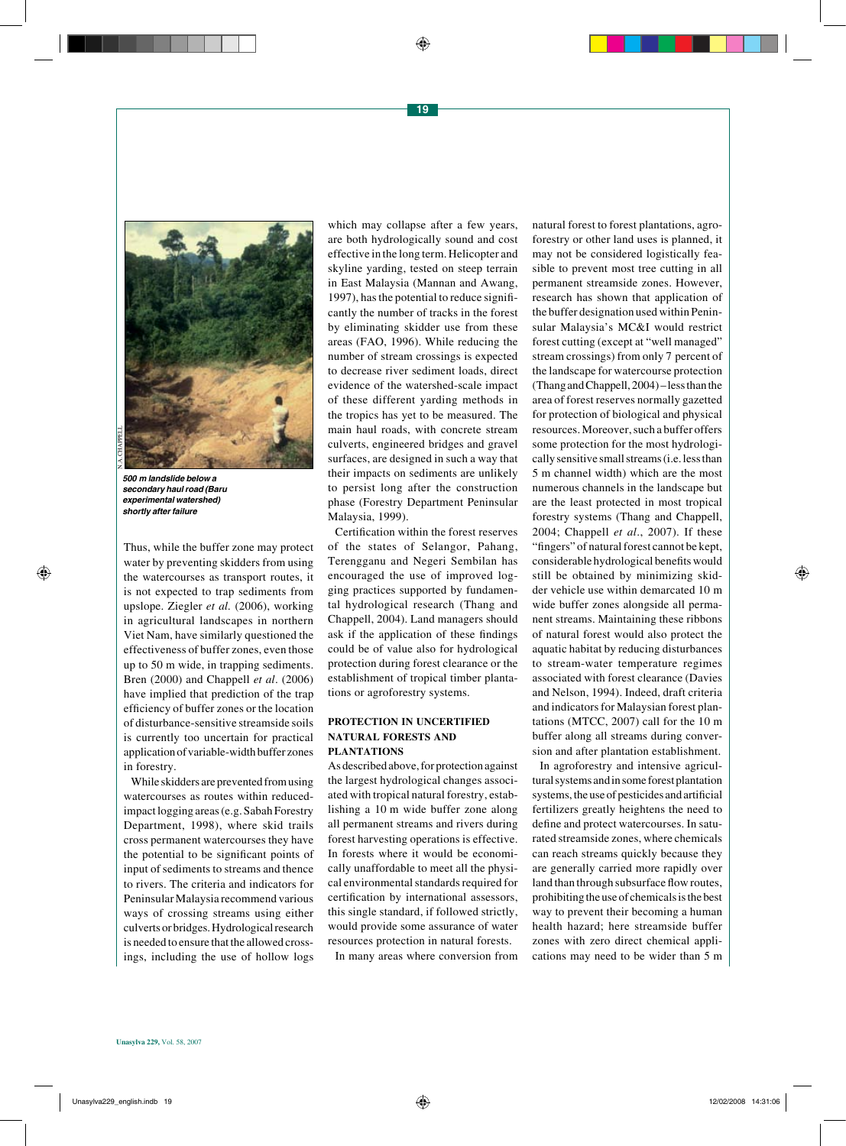

*500 m landslide below a secondary haul road (Baru*  **experimental watershed)**  *shortly after failure*

Thus, while the buffer zone may protect water by preventing skidders from using the watercourses as transport routes, it is not expected to trap sediments from upslope. Ziegler *et al.* (2006), working in agricultural landscapes in northern Viet Nam, have similarly questioned the effectiveness of buffer zones, even those up to 50 m wide, in trapping sediments. Bren (2000) and Chappell *et al*. (2006) have implied that prediction of the trap efficiency of buffer zones or the location of disturbance-sensitive streamside soils is currently too uncertain for practical application of variable-width buffer zones in forestry.

While skidders are prevented from using watercourses as routes within reducedimpact logging areas (e.g. Sabah Forestry Department, 1998), where skid trails cross permanent watercourses they have the potential to be significant points of input of sediments to streams and thence to rivers. The criteria and indicators for Peninsular Malaysia recommend various ways of crossing streams using either culverts or bridges. Hydrological research is needed to ensure that the allowed crossings, including the use of hollow logs which may collapse after a few years, are both hydrologically sound and cost effective in the long term. Helicopter and skyline yarding, tested on steep terrain in East Malaysia (Mannan and Awang, 1997), has the potential to reduce significantly the number of tracks in the forest by eliminating skidder use from these areas (FAO, 1996). While reducing the number of stream crossings is expected to decrease river sediment loads, direct evidence of the watershed-scale impact of these different yarding methods in the tropics has yet to be measured. The main haul roads, with concrete stream culverts, engineered bridges and gravel surfaces, are designed in such a way that their impacts on sediments are unlikely to persist long after the construction phase (Forestry Department Peninsular Malaysia, 1999).

Certification within the forest reserves of the states of Selangor, Pahang, Terengganu and Negeri Sembilan has encouraged the use of improved logging practices supported by fundamental hydrological research (Thang and Chappell, 2004). Land managers should ask if the application of these findings could be of value also for hydrological protection during forest clearance or the establishment of tropical timber plantations or agroforestry systems.

#### **PROTECTION IN UNCERTIFIED NATURAL FORESTS AND PLANTATIONS**

As described above, for protection against the largest hydrological changes associated with tropical natural forestry, establishing a 10 m wide buffer zone along all permanent streams and rivers during forest harvesting operations is effective. In forests where it would be economically unaffordable to meet all the physical environmental standards required for certification by international assessors, this single standard, if followed strictly, would provide some assurance of water resources protection in natural forests.

In many areas where conversion from

natural forest to forest plantations, agroforestry or other land uses is planned, it may not be considered logistically feasible to prevent most tree cutting in all permanent streamside zones. However, research has shown that application of the buffer designation used within Peninsular Malaysia's MC&I would restrict forest cutting (except at "well managed" stream crossings) from only 7 percent of the landscape for watercourse protection (Thang and Chappell, 2004) – less than the area of forest reserves normally gazetted for protection of biological and physical resources. Moreover, such a buffer offers some protection for the most hydrologically sensitive small streams (i.e. less than 5 m channel width) which are the most numerous channels in the landscape but are the least protected in most tropical forestry systems (Thang and Chappell, 2004; Chappell *et al*., 2007). If these "fingers" of natural forest cannot be kept, considerable hydrological benefits would still be obtained by minimizing skidder vehicle use within demarcated 10 m wide buffer zones alongside all permanent streams. Maintaining these ribbons of natural forest would also protect the aquatic habitat by reducing disturbances to stream-water temperature regimes associated with forest clearance (Davies and Nelson, 1994). Indeed, draft criteria and indicators for Malaysian forest plantations (MTCC, 2007) call for the 10 m buffer along all streams during conversion and after plantation establishment.

In agroforestry and intensive agricultural systems and in some forest plantation systems, the use of pesticides and artificial fertilizers greatly heightens the need to define and protect watercourses. In saturated streamside zones, where chemicals can reach streams quickly because they are generally carried more rapidly over land than through subsurface flow routes, prohibiting the use of chemicals is the best way to prevent their becoming a human health hazard; here streamside buffer zones with zero direct chemical applications may need to be wider than 5 m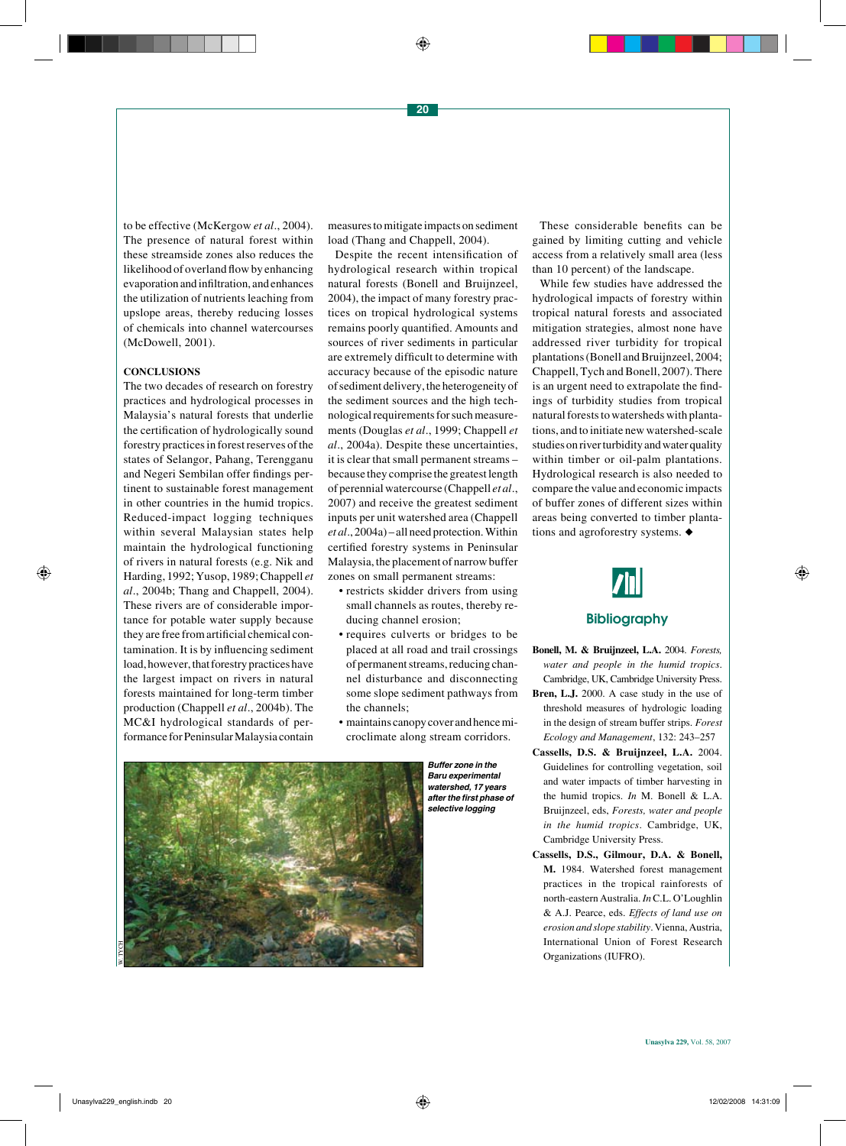to be effective (McKergow *et al*., 2004). The presence of natural forest within these streamside zones also reduces the likelihood of overland flow by enhancing evaporation and infiltration, and enhances the utilization of nutrients leaching from upslope areas, thereby reducing losses of chemicals into channel watercourses (McDowell, 2001).

#### **CONCLUSIONS**

The two decades of research on forestry practices and hydrological processes in Malaysia's natural forests that underlie the certification of hydrologically sound forestry practices in forest reserves of the states of Selangor, Pahang, Terengganu and Negeri Sembilan offer findings pertinent to sustainable forest management in other countries in the humid tropics. Reduced-impact logging techniques within several Malaysian states help maintain the hydrological functioning of rivers in natural forests (e.g. Nik and Harding, 1992; Yusop, 1989; Chappell *et al*., 2004b; Thang and Chappell, 2004). These rivers are of considerable importance for potable water supply because they are free from artificial chemical contamination. It is by influencing sediment load, however, that forestry practices have the largest impact on rivers in natural forests maintained for long-term timber production (Chappell *et al*., 2004b). The MC&I hydrological standards of performance for Peninsular Malaysia contain measures to mitigate impacts on sediment load (Thang and Chappell, 2004).

Despite the recent intensification of hydrological research within tropical natural forests (Bonell and Bruijnzeel, 2004), the impact of many forestry practices on tropical hydrological systems remains poorly quantified. Amounts and sources of river sediments in particular are extremely difficult to determine with accuracy because of the episodic nature of sediment delivery, the heterogeneity of the sediment sources and the high technological requirements for such measurements (Douglas *et al*., 1999; Chappell *et al*., 2004a). Despite these uncertainties, it is clear that small permanent streams – because they comprise the greatest length of perennial watercourse (Chappell *et al*., 2007) and receive the greatest sediment inputs per unit watershed area (Chappell *et al*., 2004a) – all need protection. Within certified forestry systems in Peninsular Malaysia, the placement of narrow buffer zones on small permanent streams:

- restricts skidder drivers from using small channels as routes, thereby reducing channel erosion;
- requires culverts or bridges to be placed at all road and trail crossings of permanent streams, reducing channel disturbance and disconnecting some slope sediment pathways from the channels;
- maintains canopy cover and hence microclimate along stream corridors.



*Buffer zone in the*  **Baru experimental**  *watershed, 17 years*  **after the first phase of**  *selective logging* 

These considerable benefits can be gained by limiting cutting and vehicle access from a relatively small area (less than 10 percent) of the landscape.

While few studies have addressed the hydrological impacts of forestry within tropical natural forests and associated mitigation strategies, almost none have addressed river turbidity for tropical plantations (Bonell and Bruijnzeel, 2004; Chappell, Tych and Bonell, 2007). There is an urgent need to extrapolate the findings of turbidity studies from tropical natural forests to watersheds with plantations, and to initiate new watershed-scale studies on river turbidity and water quality within timber or oil-palm plantations. Hydrological research is also needed to compare the value and economic impacts of buffer zones of different sizes within areas being converted to timber plantations and agroforestry systems.  $\blacklozenge$ 



## **Bibliography**

- **Bonell, M. & Bruijnzeel, L.A.** 2004. *Forests, water and people in the humid tropics*. Cambridge, UK, Cambridge University Press. **Bren, L.J.** 2000. A case study in the use of threshold measures of hydrologic loading in the design of stream buffer strips. *Forest Ecology and Management*, 132: 243–257
- **Cassells, D.S. & Bruijnzeel, L.A.** 2004. Guidelines for controlling vegetation, soil and water impacts of timber harvesting in the humid tropics. *In* M. Bonell & L.A. Bruijnzeel, eds, *Forests, water and people in the humid tropics*. Cambridge, UK, Cambridge University Press.
- **Cassells, D.S., Gilmour, D.A. & Bonell, M.** 1984. Watershed forest management practices in the tropical rainforests of north-eastern Australia. *In* C.L. O'Loughlin & A.J. Pearce, eds. *Effects of land use on erosion and slope stability*. Vienna, Austria, International Union of Forest Research Organizations (IUFRO).